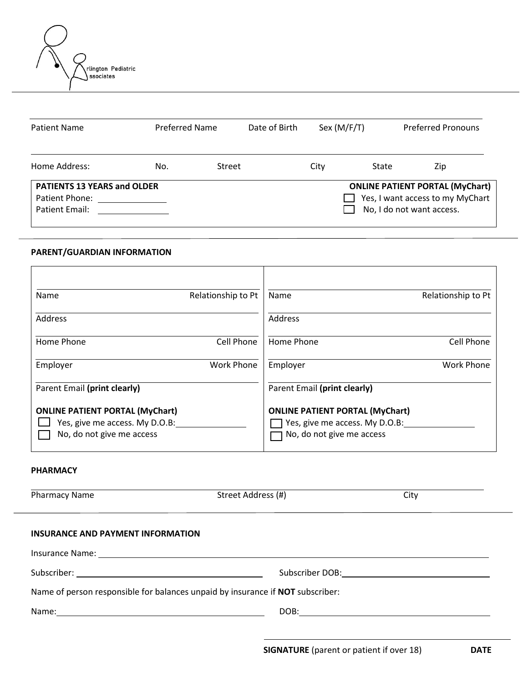

| Patient Name                                              |     | <b>Preferred Name</b> |  | Sex $(M/F/T)$             |                                                                            | <b>Preferred Pronouns</b> |
|-----------------------------------------------------------|-----|-----------------------|--|---------------------------|----------------------------------------------------------------------------|---------------------------|
| Home Address:                                             | No. | Street                |  | City                      | State                                                                      | Zip                       |
| <b>PATIENTS 13 YEARS and OLDER</b><br>Patient Phone: 2008 |     |                       |  |                           | <b>ONLINE PATIENT PORTAL (MyChart)</b><br>Yes, I want access to my MyChart |                           |
| Patient Email:                                            |     |                       |  | No, I do not want access. |                                                                            |                           |

# **PARENT/GUARDIAN INFORMATION**

| Name                                                                                                  | Relationship to Pt | Name                                                                                                  | Relationship to Pt |
|-------------------------------------------------------------------------------------------------------|--------------------|-------------------------------------------------------------------------------------------------------|--------------------|
| Address                                                                                               |                    | Address                                                                                               |                    |
| Home Phone                                                                                            | Cell Phone         | Home Phone                                                                                            | Cell Phone         |
| Employer                                                                                              | <b>Work Phone</b>  | Employer                                                                                              | <b>Work Phone</b>  |
| Parent Email (print clearly)                                                                          |                    | Parent Email (print clearly)                                                                          |                    |
| <b>ONLINE PATIENT PORTAL (MyChart)</b><br>Yes, give me access. My D.O.B:<br>No, do not give me access |                    | <b>ONLINE PATIENT PORTAL (MyChart)</b><br>Yes, give me access. My D.O.B:<br>No, do not give me access |                    |

### **PHARMACY**

| <b>Pharmacy Name</b>                                                           | Street Address (#) | City |  |  |  |
|--------------------------------------------------------------------------------|--------------------|------|--|--|--|
|                                                                                |                    |      |  |  |  |
| INSURANCE AND PAYMENT INFORMATION                                              |                    |      |  |  |  |
|                                                                                |                    |      |  |  |  |
|                                                                                |                    |      |  |  |  |
| Name of person responsible for balances unpaid by insurance if NOT subscriber: |                    |      |  |  |  |
|                                                                                |                    |      |  |  |  |
|                                                                                |                    |      |  |  |  |